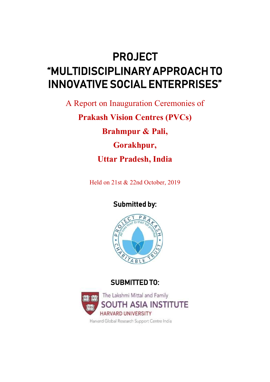## PROJECT "MULTIDISCIPLINARY APPROACH TO INNOVATIVE SOCIAL ENTERPRISES"

A Report on Inauguration Ceremonies of **Prakash Vision Centres (PVCs) Brahmpur & Pali, Gorakhpur, Uttar Pradesh, India**

Held on 21st & 22nd October, 2019

Submitted by:



## SUBMITTED TO:



Harvard Global Research Support Centre India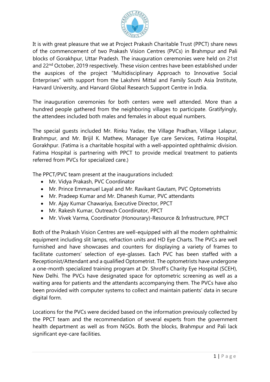

It is with great pleasure that we at Project Prakash Charitable Trust (PPCT) share news of the commencement of two Prakash Vision Centres (PVCs) in Brahmpur and Pali blocks of Gorakhpur, Uttar Pradesh. The inauguration ceremonies were held on 21st and 22nd October, 2019 respectively. These vision centres have been established under the auspices of the project "Multidisciplinary Approach to Innovative Social Enterprises" with support from the Lakshmi Mittal and Family South Asia Institute, Harvard University, and Harvard Global Research Support Centre in India.

The inauguration ceremonies for both centers were well attended. More than a hundred people gathered from the neighboring villages to participate. Gratifyingly, the attendees included both males and females in about equal numbers.

The special guests included Mr. Rinku Yadav, the Village Pradhan, Village Lalapur, Brahmpur, and Mr. Brijil K. Mathew, Manager Eye care Services, Fatima Hospital, Gorakhpur. (Fatima is a charitable hospital with a well-appointed ophthalmic division. Fatima Hospital is partnering with PPCT to provide medical treatment to patients referred from PVCs for specialized care.)

The PPCT/PVC team present at the inaugurations included:

- Mr. Vidya Prakash, PVC Coordinator
- Mr. Prince Emmanuel Layal and Mr. Ravikant Gautam, PVC Optometrists
- Mr. Pradeep Kumar and Mr. Dhanesh Kumar, PVC attendants
- Mr. Ajay Kumar Chawariya, Executive Director, PPCT
- Mr. Rakesh Kumar, Outreach Coordinator, PPCT
- Mr. Vivek Varma, Coordinator (Honourary)-Resource & Infrastructure, PPCT

Both of the Prakash Vision Centres are well-equipped with all the modern ophthalmic equipment including slit lamps, refraction units and HD Eye Charts. The PVCs are well furnished and have showcases and counters for displaying a variety of frames to facilitate customers' selection of eye-glasses. Each PVC has been staffed with a Receptionist/Attendant and a qualified Optometrist. The optometrists have undergone a one-month specialized training program at Dr. Shroff's Charity Eye Hospital (SCEH), New Delhi. The PVCs have designated space for optometric screening as well as a waiting area for patients and the attendants accompanying them. The PVCs have also been provided with computer systems to collect and maintain patients' data in secure digital form.

Locations for the PVCs were decided based on the information previously collected by the PPCT team and the recommendation of several experts from the government health department as well as from NGOs. Both the blocks, Brahmpur and Pali lack significant eye-care facilities.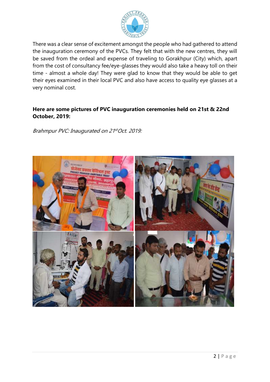

There was a clear sense of excitement amongst the people who had gathered to attend the inauguration ceremony of the PVCs. They felt that with the new centres, they will be saved from the ordeal and expense of traveling to Gorakhpur (City) which, apart from the cost of consultancy fee/eye-glasses they would also take a heavy toll on their time - almost a whole day! They were glad to know that they would be able to get their eyes examined in their local PVC and also have access to quality eye glasses at a very nominal cost.

## **Here are some pictures of PVC inauguration ceremonies held on 21st & 22nd October, 2019:**

Brahmpur PVC: Inaugurated on 21stOct. 2019: